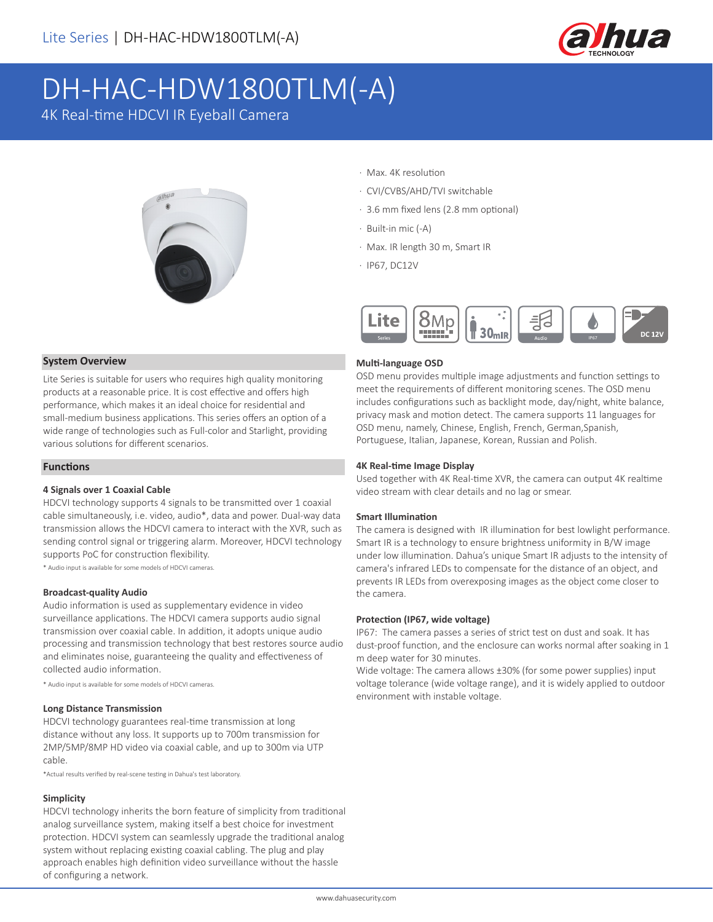

# DH-HAC-HDW1800TLM(-A)

4K Real-time HDCVI IR Eyeball Camera



#### · Max. 4K resolution

- · CVI/CVBS/AHD/TVI switchable
- · 3.6 mm fixed lens (2.8 mm optional)
- · Built-in mic (-A)
- · Max. IR length 30 m, Smart IR
- · IP67, DC12V



#### **System Overview**

Lite Series is suitable for users who requires high quality monitoring products at a reasonable price. It is cost effective and offers high performance, which makes it an ideal choice for residential and small-medium business applications. This series offers an option of a wide range of technologies such as Full-color and Starlight, providing various solutions for different scenarios.

#### **Functions**

#### **4 Signals over 1 Coaxial Cable**

HDCVI technology supports 4 signals to be transmitted over 1 coaxial cable simultaneously, i.e. video, audio\*, data and power. Dual-way data transmission allows the HDCVI camera to interact with the XVR, such as sending control signal or triggering alarm. Moreover, HDCVI technology supports PoC for construction flexibility.

\* Audio input is available for some models of HDCVI cameras.

#### **Broadcast-quality Audio**

Audio information is used as supplementary evidence in video surveillance applications. The HDCVI camera supports audio signal transmission over coaxial cable. In addition, it adopts unique audio processing and transmission technology that best restores source audio and eliminates noise, guaranteeing the quality and effectiveness of collected audio information.

\* Audio input is available for some models of HDCVI cameras.

#### **Long Distance Transmission**

HDCVI technology guarantees real-time transmission at long distance without any loss. It supports up to 700m transmission for 2MP/5MP/8MP HD video via coaxial cable, and up to 300m via UTP cable.

\*Actual results verified by real-scene testing in Dahua's test laboratory.

#### **Simplicity**

HDCVI technology inherits the born feature of simplicity from traditional analog surveillance system, making itself a best choice for investment protection. HDCVI system can seamlessly upgrade the traditional analog system without replacing existing coaxial cabling. The plug and play approach enables high definition video surveillance without the hassle of configuring a network.

#### **Multi-language OSD**

OSD menu provides multiple image adjustments and function settings to meet the requirements of different monitoring scenes. The OSD menu includes configurations such as backlight mode, day/night, white balance, privacy mask and motion detect. The camera supports 11 languages for OSD menu, namely, Chinese, English, French, German,Spanish, Portuguese, Italian, Japanese, Korean, Russian and Polish.

#### **4K Real-time Image Display**

Used together with 4K Real-time XVR, the camera can output 4K realtime video stream with clear details and no lag or smear.

#### **Smart Illumination**

The camera is designed with IR illumination for best lowlight performance. Smart IR is a technology to ensure brightness uniformity in B/W image under low illumination. Dahua's unique Smart IR adjusts to the intensity of camera's infrared LEDs to compensate for the distance of an object, and prevents IR LEDs from overexposing images as the object come closer to the camera.

#### **Protection (IP67, wide voltage)**

IP67: The camera passes a series of strict test on dust and soak. It has dust-proof function, and the enclosure can works normal after soaking in 1 m deep water for 30 minutes.

Wide voltage: The camera allows ±30% (for some power supplies) input voltage tolerance (wide voltage range), and it is widely applied to outdoor environment with instable voltage.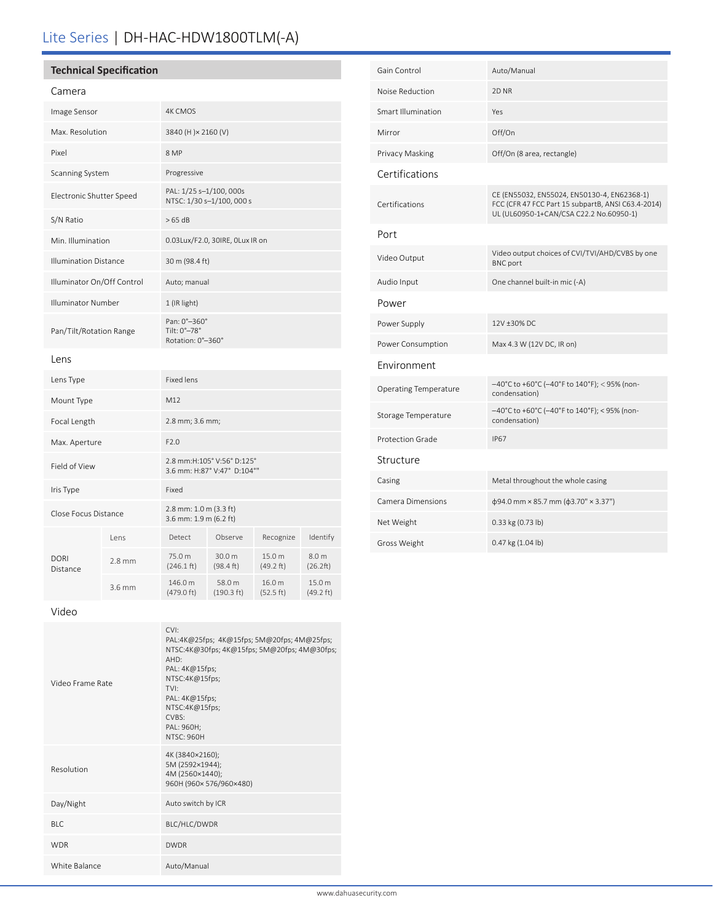## Lite Series | DH-HAC-HDW1800TLM(-A)

### **Technical Specification**

| Camera                       |          |                                                           |                                |                     |                               |
|------------------------------|----------|-----------------------------------------------------------|--------------------------------|---------------------|-------------------------------|
| Image Sensor                 |          | <b>4K CMOS</b>                                            |                                |                     |                               |
| Max. Resolution              |          | 3840 (H) × 2160 (V)                                       |                                |                     |                               |
| Pixel                        |          | 8 MP                                                      |                                |                     |                               |
| <b>Scanning System</b>       |          | Progressive                                               |                                |                     |                               |
| Electronic Shutter Speed     |          | PAL: 1/25 s-1/100, 000s<br>NTSC: 1/30 s-1/100, 000 s      |                                |                     |                               |
| S/N Ratio                    |          | >65 dB                                                    |                                |                     |                               |
| Min. Illumination            |          | 0.03Lux/F2.0, 30IRE, OLux IR on                           |                                |                     |                               |
| <b>Illumination Distance</b> |          | 30 m (98.4 ft)                                            |                                |                     |                               |
| Illuminator On/Off Control   |          | Auto; manual                                              |                                |                     |                               |
| <b>Illuminator Number</b>    |          | 1 (IR light)                                              |                                |                     |                               |
| Pan/Tilt/Rotation Range      |          | Pan: 0°-360°<br>Tilt: 0°-78°<br>Rotation: 0°-360°         |                                |                     |                               |
| Lens                         |          |                                                           |                                |                     |                               |
| Lens Type                    |          | <b>Fixed lens</b>                                         |                                |                     |                               |
| Mount Type                   |          | M12                                                       |                                |                     |                               |
| Focal Length                 |          | 2.8 mm; 3.6 mm;                                           |                                |                     |                               |
| Max. Aperture                |          | F2.0                                                      |                                |                     |                               |
| Field of View                |          | 2.8 mm:H:105° V:56° D:125°<br>3.6 mm: H:87° V:47° D:104°" |                                |                     |                               |
| Iris Type                    |          | Fixed                                                     |                                |                     |                               |
| Close Focus Distance         |          | 2.8 mm: 1.0 m (3.3 ft)<br>3.6 mm: 1.9 m (6.2 ft)          |                                |                     |                               |
| <b>DORI</b><br>Distance      | Lens     | Detect                                                    | Observe                        | Recognize           | Identify                      |
|                              | $2.8$ mm | 75.0 m<br>$(246.1 \text{ ft})$                            | 30.0 m<br>(98.4 ft)            | 15.0 m<br>(49.2 ft) | 8.0 m<br>(26.2ft)             |
|                              | 3.6 mm   | 146.0 m<br>(479.0 ft)                                     | 58.0 m<br>$(190.3 \text{ ft})$ | 16.0 m<br>(52.5 ft) | 15.0 m<br>$(49.2 \text{ ft})$ |

| Gain Control                 | Auto/Manual                                                                                                                                  |  |  |  |
|------------------------------|----------------------------------------------------------------------------------------------------------------------------------------------|--|--|--|
| Noise Reduction              | 2D <sub>NR</sub>                                                                                                                             |  |  |  |
| <b>Smart Illumination</b>    | Yes                                                                                                                                          |  |  |  |
| Mirror                       | Off/On                                                                                                                                       |  |  |  |
| Privacy Masking              | Off/On (8 area, rectangle)                                                                                                                   |  |  |  |
| Certifications               |                                                                                                                                              |  |  |  |
| Certifications               | CE (EN55032, EN55024, EN50130-4, EN62368-1)<br>FCC (CFR 47 FCC Part 15 subpartB, ANSI C63.4-2014)<br>UL (UL60950-1+CAN/CSA C22.2 No.60950-1) |  |  |  |
| Port                         |                                                                                                                                              |  |  |  |
| Video Output                 | Video output choices of CVI/TVI/AHD/CVBS by one<br><b>BNC</b> port                                                                           |  |  |  |
| Audio Input                  | One channel built-in mic (-A)                                                                                                                |  |  |  |
| Power                        |                                                                                                                                              |  |  |  |
| Power Supply                 | 12V ±30% DC                                                                                                                                  |  |  |  |
| Power Consumption            | Max 4.3 W (12V DC, IR on)                                                                                                                    |  |  |  |
| Environment                  |                                                                                                                                              |  |  |  |
| <b>Operating Temperature</b> | -40°C to +60°C (-40°F to 140°F); < 95% (non-<br>condensation)                                                                                |  |  |  |
| Storage Temperature          | -40°C to +60°C (-40°F to 140°F); < 95% (non-<br>condensation)                                                                                |  |  |  |
| <b>Protection Grade</b>      | <b>IP67</b>                                                                                                                                  |  |  |  |
| Structure                    |                                                                                                                                              |  |  |  |
| Casing                       | Metal throughout the whole casing                                                                                                            |  |  |  |
| Camera Dimensions            | $\phi$ 94.0 mm × 85.7 mm ( $\phi$ 3.70" × 3.37")                                                                                             |  |  |  |
| Net Weight                   | 0.33 kg (0.73 lb)                                                                                                                            |  |  |  |
| Gross Weight                 | 0.47 kg (1.04 lb)                                                                                                                            |  |  |  |

#### Video

| Video Frame Rate | CVI:<br>PAL:4K@25fps; 4K@15fps; 5M@20fps; 4M@25fps;<br>NTSC:4K@30fps; 4K@15fps; 5M@20fps; 4M@30fps;<br>$AHD^.$<br>PAL: 4K@15fps;<br>NTSC:4K@15fps;<br>TVI:<br>PAL: 4K@15fps;<br>NTSC:4K@15fps;<br>CVBS<br>PAL: 960H;<br><b>NTSC: 960H</b> |
|------------------|-------------------------------------------------------------------------------------------------------------------------------------------------------------------------------------------------------------------------------------------|
| Resolution       | 4K (3840×2160);<br>5M (2592×1944);<br>4M (2560×1440);<br>960H (960×576/960×480)                                                                                                                                                           |
| Day/Night        | Auto switch by ICR                                                                                                                                                                                                                        |
| BI C             | BLC/HLC/DWDR                                                                                                                                                                                                                              |
| <b>WDR</b>       | <b>DWDR</b>                                                                                                                                                                                                                               |
| White Balance    | Auto/Manual                                                                                                                                                                                                                               |